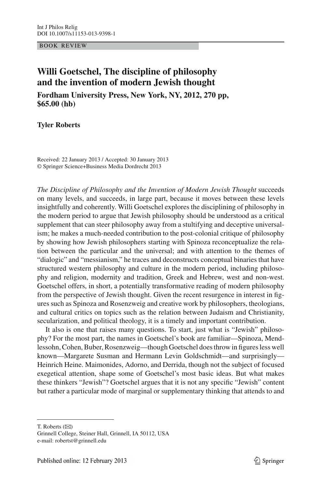BOOK REV IEW

## **Willi Goetschel, The discipline of philosophy and the invention of modern Jewish thought**

**Fordham University Press, New York, NY, 2012, 270 pp, \$65.00 (hb)**

**Tyler Roberts**

Received: 22 January 2013 / Accepted: 30 January 2013 © Springer Science+Business Media Dordrecht 2013

*The Discipline of Philosophy and the Invention of Modern Jewish Thought* succeeds on many levels, and succeeds, in large part, because it moves between these levels insightfully and coherently. Willi Goetschel explores the disciplining of philosophy in the modern period to argue that Jewish philosophy should be understood as a critical supplement that can steer philosophy away from a stultifying and deceptive universalism; he makes a much-needed contribution to the post-colonial critique of philosophy by showing how Jewish philosophers starting with Spinoza reconceptualize the relation between the particular and the universal; and with attention to the themes of "dialogic" and "messianism," he traces and deconstructs conceptual binaries that have structured western philosophy and culture in the modern period, including philosophy and religion, modernity and tradition, Greek and Hebrew, west and non-west. Goetschel offers, in short, a potentially transformative reading of modern philosophy from the perspective of Jewish thought. Given the recent resurgence in interest in figures such as Spinoza and Rosenzweig and creative work by philosophers, theologians, and cultural critics on topics such as the relation between Judaism and Christianity, secularization, and political theology, it is a timely and important contribution.

It also is one that raises many questions. To start, just what is "Jewish" philosophy? For the most part, the names in Goetschel's book are familiar—Spinoza, Mendlessohn, Cohen, Buber, Rosenzweig—though Goetschel does throw in figures less well known—Margarete Susman and Hermann Levin Goldschmidt—and surprisingly— Heinrich Heine. Maimonides, Adorno, and Derrida, though not the subject of focused exegetical attention, shape some of Goetschel's most basic ideas. But what makes these thinkers "Jewish"? Goetschel argues that it is not any specific "Jewish" content but rather a particular mode of marginal or supplementary thinking that attends to and

T. Roberts  $(\boxtimes)$ 

Grinnell College, Steiner Hall, Grinnell, IA 50112, USA e-mail: robertst@grinnell.edu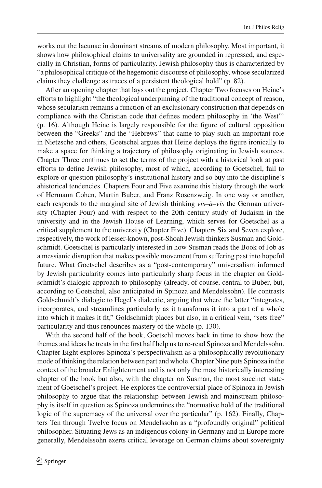works out the lacunae in dominant streams of modern philosophy. Most important, it shows how philosophical claims to universality are grounded in repressed, and especially in Christian, forms of particularity. Jewish philosophy thus is characterized by "a philosophical critique of the hegemonic discourse of philosophy, whose secularized claims they challenge as traces of a persistent theological hold" (p. 82).

After an opening chapter that lays out the project, Chapter Two focuses on Heine's efforts to highlight "the theological underpinning of the traditional concept of reason, whose secularism remains a function of an exclusionary construction that depends on compliance with the Christian code that defines modern philosophy in 'the West"' (p. 16). Although Heine is largely responsible for the figure of cultural opposition between the "Greeks" and the "Hebrews" that came to play such an important role in Nietzsche and others, Goetschel argues that Heine deploys the figure ironically to make a space for thinking a trajectory of philosophy originating in Jewish sources. Chapter Three continues to set the terms of the project with a historical look at past efforts to define Jewish philosophy, most of which, according to Goetschel, fail to explore or question philosophy's institutional history and so buy into the discipline's ahistorical tendencies. Chapters Four and Five examine this history through the work of Hermann Cohen, Martin Buber, and Franz Rosenzweig. In one way or another, each responds to the marginal site of Jewish thinking *vis–à–vis* the German university (Chapter Four) and with respect to the 20th century study of Judaism in the university and in the Jewish House of Learning, which serves for Goetschel as a critical supplement to the university (Chapter Five). Chapters Six and Seven explore, respectively, the work of lesser-known, post-Shoah Jewish thinkers Susman and Goldschmidt. Goetschel is particularly interested in how Susman reads the Book of Job as a messianic disruption that makes possible movement from suffering past into hopeful future. What Goetschel describes as a "post-contemporary" universalism informed by Jewish particularity comes into particularly sharp focus in the chapter on Goldschmidt's dialogic approach to philosophy (already, of course, central to Buber, but, according to Goetschel, also anticipated in Spinoza and Mendelssohn). He contrasts Goldschmidt's dialogic to Hegel's dialectic, arguing that where the latter "integrates, incorporates, and streamlines particularly as it transforms it into a part of a whole into which it makes it fit," Goldschmidt places but also, in a critical vein, "sets free" particularity and thus renounces mastery of the whole (p. 130).

With the second half of the book, Goetschl moves back in time to show how the themes and ideas he treats in the first half help us to re-read Spinoza and Mendelssohn. Chapter Eight explores Spinoza's perspectivalism as a philosophically revolutionary mode of thinking the relation between part and whole. Chapter Nine puts Spinoza in the context of the broader Enlightenment and is not only the most historically interesting chapter of the book but also, with the chapter on Susman, the most succinct statement of Goetschel's project. He explores the controversial place of Spinoza in Jewish philosophy to argue that the relationship between Jewish and mainstream philosophy is itself in question as Spinoza undermines the "normative hold of the traditional logic of the supremacy of the universal over the particular" (p. 162). Finally, Chapters Ten through Twelve focus on Mendelssohn as a "profoundly original" political philosopher. Situating Jews as an indigenous colony in Germany and in Europe more generally, Mendelssohn exerts critical leverage on German claims about sovereignty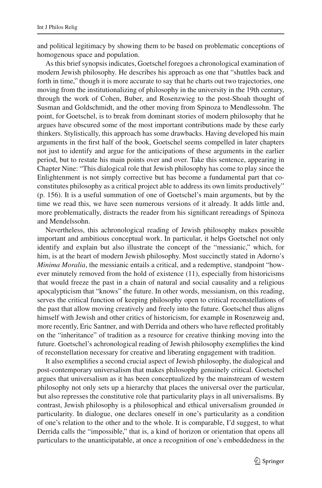and political legitimacy by showing them to be based on problematic conceptions of homogenous space and population.

As this brief synopsis indicates, Goetschel foregoes a chronological examination of modern Jewish philosophy. He describes his approach as one that "shuttles back and forth in time," though it is more accurate to say that he charts out two trajectories, one moving from the institutionalizing of philosophy in the university in the 19th century, through the work of Cohen, Buber, and Rosenzwieg to the post-Shoah thought of Susman and Goldschmidt, and the other moving from Spinoza to Mendlessohn. The point, for Goetschel, is to break from dominant stories of modern philosophy that he argues have obscured some of the most important contributions made by these early thinkers. Stylistically, this approach has some drawbacks. Having developed his main arguments in the first half of the book, Goetschel seems compelled in later chapters not just to identify and argue for the anticipations of these arguments in the earlier period, but to restate his main points over and over. Take this sentence, appearing in Chapter Nine: "This dialogical role that Jewish philosophy has come to play since the Enlightenment is not simply corrective but has become a fundamental part that coconstitutes philosophy as a critical project able to address its own limits productively" (p. 156). It is a useful summation of one of Goetschel's main arguments, but by the time we read this, we have seen numerous versions of it already. It adds little and, more problematically, distracts the reader from his significant rereadings of Spinoza and Mendelssohn.

Nevertheless, this achronological reading of Jewish philosophy makes possible important and ambitious conceptual work. In particular, it helps Goetschel not only identify and explain but also illustrate the concept of the "messianic," which, for him, is at the heart of modern Jewish philosophy. Most succinctly stated in Adorno's *Minima Moralia*, the messianic entails a critical, and a redemptive, standpoint "however minutely removed from the hold of existence (11), especially from historicisms that would freeze the past in a chain of natural and social causality and a religious apocalypticism that "knows" the future. In other words, messianism, on this reading, serves the critical function of keeping philosophy open to critical reconstellations of the past that allow moving creatively and freely into the future. Goetschel thus aligns himself with Jewish and other critics of historicism, for example in Rosenzweig and, more recently, Eric Santner, and with Derrida and others who have reflected profitably on the "inheritance" of tradition as a resource for creative thinking moving into the future. Goetschel's achronological reading of Jewish philosophy exemplifies the kind of reconstellation necessary for creative and liberating engagement with tradition.

It also exemplifies a second crucial aspect of Jewish philosophy, the dialogical and post-contemporary universalism that makes philosophy genuinely critical. Goetschel argues that universalism as it has been conceptualized by the mainstream of western philosophy not only sets up a hierarchy that places the universal over the particular, but also represses the constitutive role that particularity plays in all universalisms. By contrast, Jewish philosophy is a philosophical and ethical universalism grounded *in* particularity. In dialogue, one declares oneself in one's particularity as a condition of one's relation to the other and to the whole. It is comparable, I'd suggest, to what Derrida calls the "impossible," that is, a kind of horizon or orientation that opens all particulars to the unanticipatable, at once a recognition of one's embeddedness in the